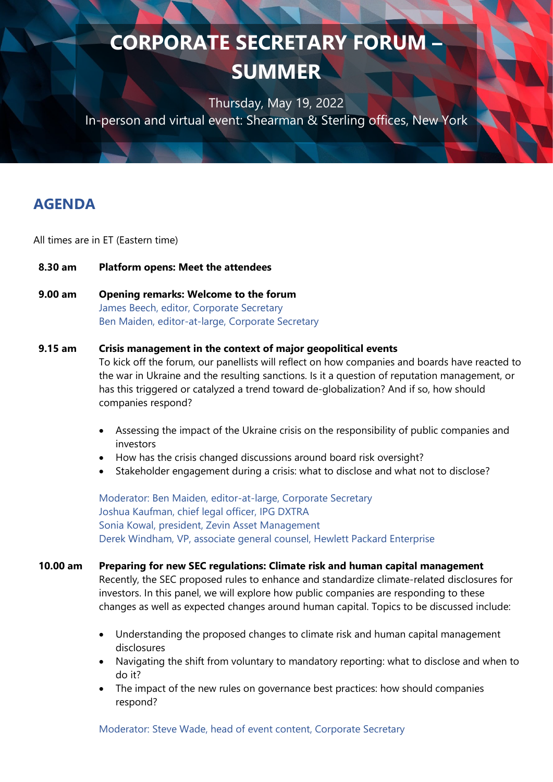Thursday, May 19, 2022 In-person and virtual event: Shearman & Sterling offices, New York

## **AGENDA**

All times are in ET (Eastern time)

- **8.30 am Platform opens: Meet the attendees**
- **9.00 am Opening remarks: Welcome to the forum** James Beech, editor, Corporate Secretary Ben Maiden, editor-at-large, Corporate Secretary

#### **9.15 am Crisis management in the context of major geopolitical events**

To kick off the forum, our panellists will reflect on how companies and boards have reacted to the war in Ukraine and the resulting sanctions. Is it a question of reputation management, or has this triggered or catalyzed a trend toward de-globalization? And if so, how should companies respond?

- Assessing the impact of the Ukraine crisis on the responsibility of public companies and investors
- How has the crisis changed discussions around board risk oversight?
- Stakeholder engagement during a crisis: what to disclose and what not to disclose?

Moderator: Ben Maiden, editor-at-large, Corporate Secretary Joshua Kaufman, chief legal officer, IPG DXTRA Sonia Kowal, president, Zevin Asset Management Derek Windham, VP, associate general counsel, Hewlett Packard Enterprise

### **10.00 am Preparing for new SEC regulations: Climate risk and human capital management** Recently, the SEC proposed rules to enhance and standardize climate-related disclosures for

investors. In this panel, we will explore how public companies are responding to these changes as well as expected changes around human capital. Topics to be discussed include:

- Understanding the proposed changes to climate risk and human capital management disclosures
- Navigating the shift from voluntary to mandatory reporting: what to disclose and when to do it?
- The impact of the new rules on governance best practices: how should companies respond?

Moderator: Steve Wade, head of event content, Corporate Secretary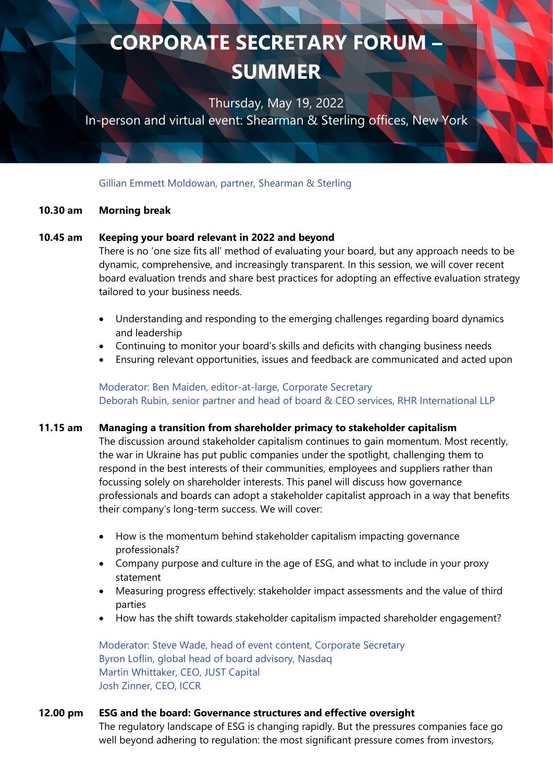Thursday, May 19, 2022

In-person and virtual event: Shearman & Sterling offices, New York

Gillian Emmett Moldowan, partner, Shearman & Sterling

#### **10.30 am Morning break**

#### **10.45 am Keeping your board relevant in 2022 and beyond**

There is no 'one size fits all' method of evaluating your board, but any approach needs to be dynamic, comprehensive, and increasingly transparent. In this session, we will cover recent board evaluation trends and share best practices for adopting an effective evaluation strategy tailored to your business needs.

- Understanding and responding to the emerging challenges regarding board dynamics and leadership
- Continuing to monitor your board's skills and deficits with changing business needs
- Ensuring relevant opportunities, issues and feedback are communicated and acted upon

Moderator: Ben Maiden, editor-at-large, Corporate Secretary Deborah Rubin, senior partner and head of board & CEO services, RHR International LLP

#### **11.15 am Managing a transition from shareholder primacy to stakeholder capitalism**

The discussion around stakeholder capitalism continues to gain momentum. Most recently, the war in Ukraine has put public companies under the spotlight, challenging them to respond in the best interests of their communities, employees and suppliers rather than focussing solely on shareholder interests. This panel will discuss how governance professionals and boards can adopt a stakeholder capitalist approach in a way that benefits their company's long-term success. We will cover:

- How is the momentum behind stakeholder capitalism impacting governance professionals?
- Company purpose and culture in the age of ESG, and what to include in your proxy statement
- Measuring progress effectively: stakeholder impact assessments and the value of third parties
- How has the shift towards stakeholder capitalism impacted shareholder engagement?

Moderator: Steve Wade, head of event content, Corporate Secretary Byron Loflin, global head of board advisory, Nasdaq Martin Whittaker, CEO, JUST Capital Josh Zinner, CEO, ICCR

### **12.00 pm ESG and the board: Governance structures and effective oversight**

The regulatory landscape of ESG is changing rapidly. But the pressures companies face go well beyond adhering to regulation: the most significant pressure comes from investors,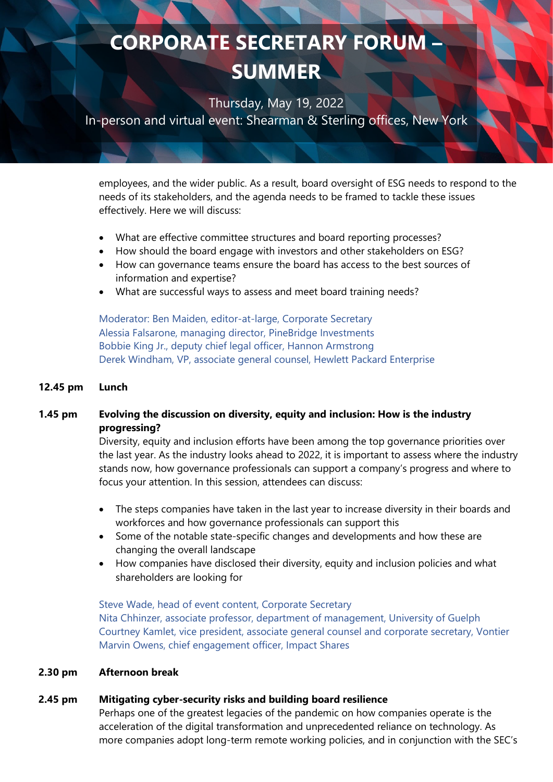Thursday, May 19, 2022

In-person and virtual event: Shearman & Sterling offices, New York

employees, and the wider public. As a result, board oversight of ESG needs to respond to the needs of its stakeholders, and the agenda needs to be framed to tackle these issues effectively. Here we will discuss:

- What are effective committee structures and board reporting processes?
- How should the board engage with investors and other stakeholders on ESG?
- How can governance teams ensure the board has access to the best sources of information and expertise?
- What are successful ways to assess and meet board training needs?

Moderator: Ben Maiden, editor-at-large, Corporate Secretary Alessia Falsarone, managing director, PineBridge Investments Bobbie King Jr., deputy chief legal officer, Hannon Armstrong Derek Windham, VP, associate general counsel, Hewlett Packard Enterprise

### **12.45 pm Lunch**

### **1.45 pm Evolving the discussion on diversity, equity and inclusion: How is the industry progressing?**

Diversity, equity and inclusion efforts have been among the top governance priorities over the last year. As the industry looks ahead to 2022, it is important to assess where the industry stands now, how governance professionals can support a company's progress and where to focus your attention. In this session, attendees can discuss:

- The steps companies have taken in the last year to increase diversity in their boards and workforces and how governance professionals can support this
- Some of the notable state-specific changes and developments and how these are changing the overall landscape
- How companies have disclosed their diversity, equity and inclusion policies and what shareholders are looking for

Steve Wade, head of event content, Corporate Secretary Nita Chhinzer, associate professor, department of management, University of Guelph Courtney Kamlet, vice president, associate general counsel and corporate secretary, Vontier Marvin Owens, chief engagement officer, Impact Shares

### **2.30 pm Afternoon break**

### **2.45 pm Mitigating cyber-security risks and building board resilience**

Perhaps one of the greatest legacies of the pandemic on how companies operate is the acceleration of the digital transformation and unprecedented reliance on technology. As more companies adopt long-term remote working policies, and in conjunction with the SEC's